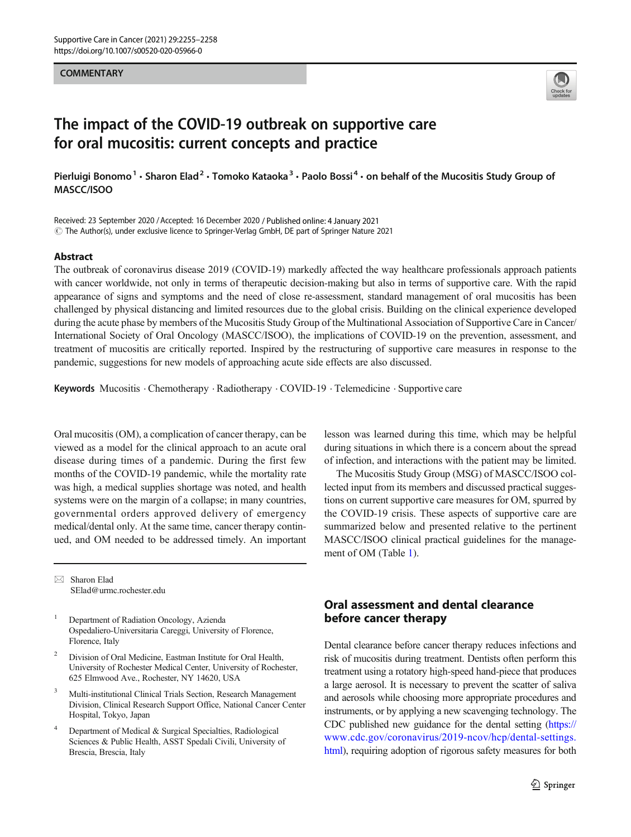#### **COMMENTARY**



# The impact of the COVID-19 outbreak on supportive care for oral mucositis: current concepts and practice

Pierluigi Bonomo<sup>1</sup> • Sharon Elad<sup>2</sup> • Tomoko Kataoka<sup>3</sup> • Paolo Bossi<sup>4</sup> • on behalf of the Mucositis Study Group of MASCC/ISOO

Received: 23 September 2020 /Accepted: 16 December 2020 / Published online: 4 January 2021  $\circled{c}$  The Author(s), under exclusive licence to Springer-Verlag GmbH, DE part of Springer Nature 2021

#### Abstract

The outbreak of coronavirus disease 2019 (COVID-19) markedly affected the way healthcare professionals approach patients with cancer worldwide, not only in terms of therapeutic decision-making but also in terms of supportive care. With the rapid appearance of signs and symptoms and the need of close re-assessment, standard management of oral mucositis has been challenged by physical distancing and limited resources due to the global crisis. Building on the clinical experience developed during the acute phase by members of the Mucositis Study Group of the Multinational Association of Supportive Care in Cancer/ International Society of Oral Oncology (MASCC/ISOO), the implications of COVID-19 on the prevention, assessment, and treatment of mucositis are critically reported. Inspired by the restructuring of supportive care measures in response to the pandemic, suggestions for new models of approaching acute side effects are also discussed.

Keywords Mucositis . Chemotherapy . Radiotherapy . COVID-19 . Telemedicine . Supportive care

Oral mucositis (OM), a complication of cancer therapy, can be viewed as a model for the clinical approach to an acute oral disease during times of a pandemic. During the first few months of the COVID-19 pandemic, while the mortality rate was high, a medical supplies shortage was noted, and health systems were on the margin of a collapse; in many countries, governmental orders approved delivery of emergency medical/dental only. At the same time, cancer therapy continued, and OM needed to be addressed timely. An important

 $\boxtimes$  Sharon Elad [SElad@urmc.rochester.edu](mailto:SElad@urmc.rochester.edu)

<sup>1</sup> Department of Radiation Oncology, Azienda Ospedaliero-Universitaria Careggi, University of Florence, Florence, Italy

- <sup>2</sup> Division of Oral Medicine, Eastman Institute for Oral Health, University of Rochester Medical Center, University of Rochester, 625 Elmwood Ave., Rochester, NY 14620, USA
- <sup>3</sup> Multi-institutional Clinical Trials Section, Research Management Division, Clinical Research Support Office, National Cancer Center Hospital, Tokyo, Japan
- Department of Medical & Surgical Specialties, Radiological Sciences & Public Health, ASST Spedali Civili, University of Brescia, Brescia, Italy

lesson was learned during this time, which may be helpful during situations in which there is a concern about the spread of infection, and interactions with the patient may be limited.

The Mucositis Study Group (MSG) of MASCC/ISOO collected input from its members and discussed practical suggestions on current supportive care measures for OM, spurred by the COVID-19 crisis. These aspects of supportive care are summarized below and presented relative to the pertinent MASCC/ISOO clinical practical guidelines for the management of OM (Table [1](#page-1-0)).

# Oral assessment and dental clearance before cancer therapy

Dental clearance before cancer therapy reduces infections and risk of mucositis during treatment. Dentists often perform this treatment using a rotatory high-speed hand-piece that produces a large aerosol. It is necessary to prevent the scatter of saliva and aerosols while choosing more appropriate procedures and instruments, or by applying a new scavenging technology. The CDC published new guidance for the dental setting [\(https://](https://www.cdc.gov/coronavirus/2019-ncov/hcp/dental-settings.html) [www.cdc.gov/coronavirus/2019-ncov/hcp/dental-settings.](https://www.cdc.gov/coronavirus/2019-ncov/hcp/dental-settings.html) [html](https://www.cdc.gov/coronavirus/2019-ncov/hcp/dental-settings.html)), requiring adoption of rigorous safety measures for both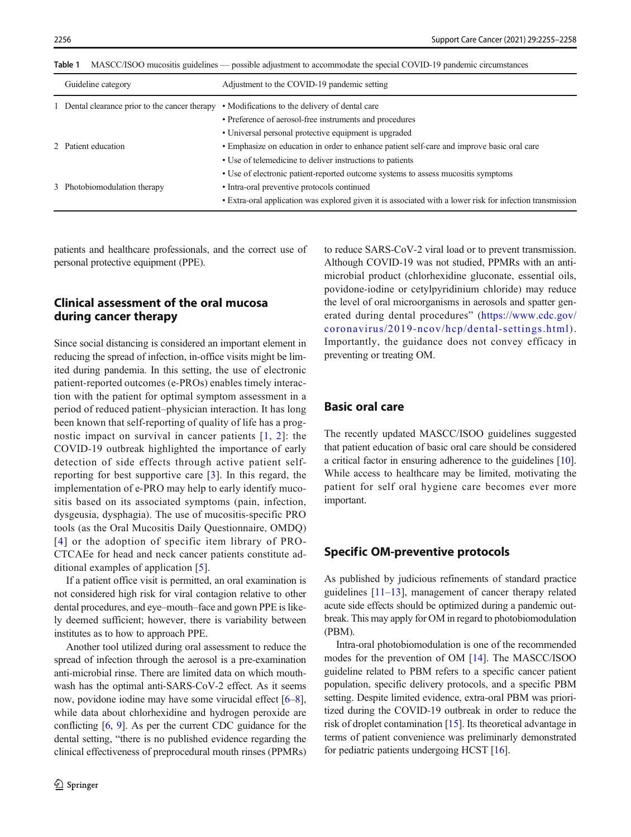<span id="page-1-0"></span>

| MASCC/ISOO mucositis guidelines — possible adjustment to accommodate the special COVID-19 pandemic circumstances<br>Table 1 |                                                |                                                                                                           |
|-----------------------------------------------------------------------------------------------------------------------------|------------------------------------------------|-----------------------------------------------------------------------------------------------------------|
|                                                                                                                             | Guideline category                             | Adjustment to the COVID-19 pandemic setting                                                               |
|                                                                                                                             | 1 Dental clearance prior to the cancer therapy | • Modifications to the delivery of dental care                                                            |
|                                                                                                                             |                                                | • Preference of aerosol-free instruments and procedures                                                   |
|                                                                                                                             |                                                | • Universal personal protective equipment is upgraded                                                     |
|                                                                                                                             | 2 Patient education                            | • Emphasize on education in order to enhance patient self-care and improve basic oral care                |
|                                                                                                                             |                                                | • Use of telemedicine to deliver instructions to patients                                                 |
|                                                                                                                             |                                                | • Use of electronic patient-reported outcome systems to assess mucositis symptoms                         |
|                                                                                                                             | 3 Photobiomodulation therapy                   | • Intra-oral preventive protocols continued                                                               |
|                                                                                                                             |                                                | • Extra-oral application was explored given it is associated with a lower risk for infection transmission |

patients and healthcare professionals, and the correct use of personal protective equipment (PPE).

## Clinical assessment of the oral mucosa during cancer therapy

Since social distancing is considered an important element in reducing the spread of infection, in-office visits might be limited during pandemia. In this setting, the use of electronic patient-reported outcomes (e-PROs) enables timely interaction with the patient for optimal symptom assessment in a period of reduced patient–physician interaction. It has long been known that self-reporting of quality of life has a prognostic impact on survival in cancer patients  $[1, 2]$  $[1, 2]$  $[1, 2]$  $[1, 2]$  $[1, 2]$ : the COVID-19 outbreak highlighted the importance of early detection of side effects through active patient selfreporting for best supportive care [[3\]](#page-2-0). In this regard, the implementation of e-PRO may help to early identify mucositis based on its associated symptoms (pain, infection, dysgeusia, dysphagia). The use of mucositis-specific PRO tools (as the Oral Mucositis Daily Questionnaire, OMDQ) [[4](#page-2-0)] or the adoption of specific item library of PRO-CTCAEe for head and neck cancer patients constitute additional examples of application [[5\]](#page-2-0).

If a patient office visit is permitted, an oral examination is not considered high risk for viral contagion relative to other dental procedures, and eye–mouth–face and gown PPE is likely deemed sufficient; however, there is variability between institutes as to how to approach PPE.

Another tool utilized during oral assessment to reduce the spread of infection through the aerosol is a pre-examination anti-microbial rinse. There are limited data on which mouthwash has the optimal anti-SARS-CoV-2 effect. As it seems now, povidone iodine may have some virucidal effect [[6](#page-2-0)–[8\]](#page-2-0), while data about chlorhexidine and hydrogen peroxide are conflicting [\[6](#page-2-0), [9](#page-2-0)]. As per the current CDC guidance for the dental setting, "there is no published evidence regarding the clinical effectiveness of preprocedural mouth rinses (PPMRs) to reduce SARS-CoV-2 viral load or to prevent transmission. Although COVID-19 was not studied, PPMRs with an antimicrobial product (chlorhexidine gluconate, essential oils, povidone-iodine or cetylpyridinium chloride) may reduce the level of oral microorganisms in aerosols and spatter generated during dental procedures" [\(https://www.cdc.gov/](https://www.cdc.gov/coronavirus/2019-ncov/hcp/dental-settings.html) [coronavirus/2019-ncov/hcp/dental-settings.html\)](https://www.cdc.gov/coronavirus/2019-ncov/hcp/dental-settings.html). Importantly, the guidance does not convey efficacy in preventing or treating OM.

#### Basic oral care

The recently updated MASCC/ISOO guidelines suggested that patient education of basic oral care should be considered a critical factor in ensuring adherence to the guidelines [[10\]](#page-2-0). While access to healthcare may be limited, motivating the patient for self oral hygiene care becomes ever more important.

### Specific OM-preventive protocols

As published by judicious refinements of standard practice guidelines  $[11-13]$  $[11-13]$  $[11-13]$  $[11-13]$ , management of cancer therapy related acute side effects should be optimized during a pandemic outbreak. This may apply for OM in regard to photobiomodulation (PBM).

Intra-oral photobiomodulation is one of the recommended modes for the prevention of OM [\[14\]](#page-3-0). The MASCC/ISOO guideline related to PBM refers to a specific cancer patient population, specific delivery protocols, and a specific PBM setting. Despite limited evidence, extra-oral PBM was prioritized during the COVID-19 outbreak in order to reduce the risk of droplet contamination [\[15](#page-3-0)]. Its theoretical advantage in terms of patient convenience was preliminarly demonstrated for pediatric patients undergoing HCST [\[16](#page-3-0)].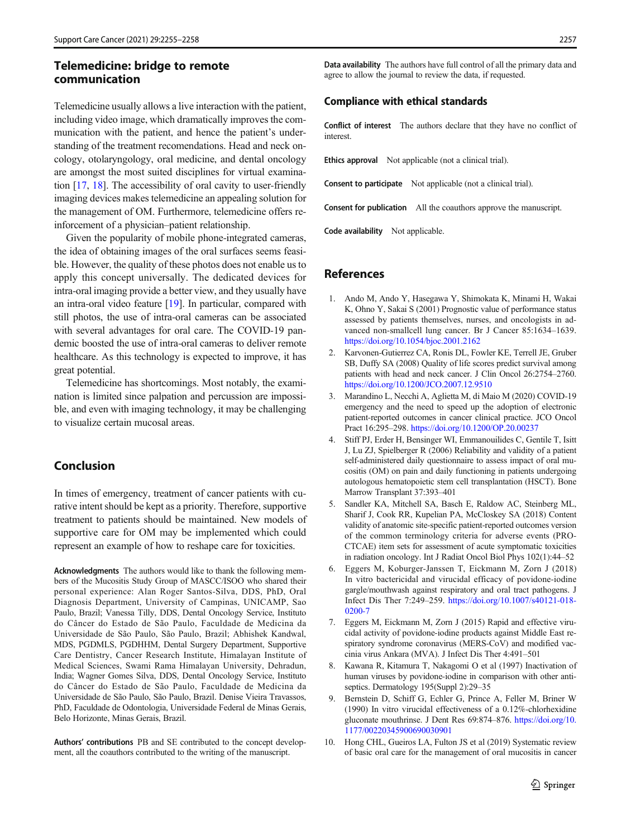## <span id="page-2-0"></span>Telemedicine: bridge to remote communication

Telemedicine usually allows a live interaction with the patient, including video image, which dramatically improves the communication with the patient, and hence the patient's understanding of the treatment recomendations. Head and neck oncology, otolaryngology, oral medicine, and dental oncology are amongst the most suited disciplines for virtual examination [\[17,](#page-3-0) [18](#page-3-0)]. The accessibility of oral cavity to user-friendly imaging devices makes telemedicine an appealing solution for the management of OM. Furthermore, telemedicine offers reinforcement of a physician–patient relationship.

Given the popularity of mobile phone-integrated cameras, the idea of obtaining images of the oral surfaces seems feasible. However, the quality of these photos does not enable us to apply this concept universally. The dedicated devices for intra-oral imaging provide a better view, and they usually have an intra-oral video feature [\[19\]](#page-3-0). In particular, compared with still photos, the use of intra-oral cameras can be associated with several advantages for oral care. The COVID-19 pandemic boosted the use of intra-oral cameras to deliver remote healthcare. As this technology is expected to improve, it has great potential.

Telemedicine has shortcomings. Most notably, the examination is limited since palpation and percussion are impossible, and even with imaging technology, it may be challenging to visualize certain mucosal areas.

### Conclusion

In times of emergency, treatment of cancer patients with curative intent should be kept as a priority. Therefore, supportive treatment to patients should be maintained. New models of supportive care for OM may be implemented which could represent an example of how to reshape care for toxicities.

Acknowledgments The authors would like to thank the following members of the Mucositis Study Group of MASCC/ISOO who shared their personal experience: Alan Roger Santos-Silva, DDS, PhD, Oral Diagnosis Department, University of Campinas, UNICAMP, Sao Paulo, Brazil; Vanessa Tilly, DDS, Dental Oncology Service, Instituto do Câncer do Estado de São Paulo, Faculdade de Medicina da Universidade de São Paulo, São Paulo, Brazil; Abhishek Kandwal, MDS, PGDMLS, PGDHHM, Dental Surgery Department, Supportive Care Dentistry, Cancer Research Institute, Himalayan Institute of Medical Sciences, Swami Rama Himalayan University, Dehradun, India; Wagner Gomes Silva, DDS, Dental Oncology Service, Instituto do Câncer do Estado de São Paulo, Faculdade de Medicina da Universidade de São Paulo, São Paulo, Brazil. Denise Vieira Travassos, PhD, Faculdade de Odontologia, Universidade Federal de Minas Gerais, Belo Horizonte, Minas Gerais, Brazil.

Authors' contributions PB and SE contributed to the concept development, all the coauthors contributed to the writing of the manuscript.

Data availability The authors have full control of all the primary data and agree to allow the journal to review the data, if requested.

#### Compliance with ethical standards

Conflict of interest The authors declare that they have no conflict of interest.

Ethics approval Not applicable (not a clinical trial).

Consent to participate Not applicable (not a clinical trial).

Consent for publication All the coauthors approve the manuscript.

Code availability Not applicable.

#### References

- 1. Ando M, Ando Y, Hasegawa Y, Shimokata K, Minami H, Wakai K, Ohno Y, Sakai S (2001) Prognostic value of performance status assessed by patients themselves, nurses, and oncologists in advanced non-smallcell lung cancer. Br J Cancer 85:1634–1639. <https://doi.org/10.1054/bjoc.2001.2162>
- 2. Karvonen-Gutierrez CA, Ronis DL, Fowler KE, Terrell JE, Gruber SB, Duffy SA (2008) Quality of life scores predict survival among patients with head and neck cancer. J Clin Oncol 26:2754–2760. <https://doi.org/10.1200/JCO.2007.12.9510>
- 3. Marandino L, Necchi A, Aglietta M, di Maio M (2020) COVID-19 emergency and the need to speed up the adoption of electronic patient-reported outcomes in cancer clinical practice. JCO Oncol Pract 16:295–298. <https://doi.org/10.1200/OP.20.00237>
- 4. Stiff PJ, Erder H, Bensinger WI, Emmanouilides C, Gentile T, Isitt J, Lu ZJ, Spielberger R (2006) Reliability and validity of a patient self-administered daily questionnaire to assess impact of oral mucositis (OM) on pain and daily functioning in patients undergoing autologous hematopoietic stem cell transplantation (HSCT). Bone Marrow Transplant 37:393–401
- 5. Sandler KA, Mitchell SA, Basch E, Raldow AC, Steinberg ML, Sharif J, Cook RR, Kupelian PA, McCloskey SA (2018) Content validity of anatomic site-specific patient-reported outcomes version of the common terminology criteria for adverse events (PRO-CTCAE) item sets for assessment of acute symptomatic toxicities in radiation oncology. Int J Radiat Oncol Biol Phys 102(1):44–52
- 6. Eggers M, Koburger-Janssen T, Eickmann M, Zorn J (2018) In vitro bactericidal and virucidal efficacy of povidone-iodine gargle/mouthwash against respiratory and oral tract pathogens. J Infect Dis Ther 7:249–259. [https://doi.org/10.1007/s40121-018-](https://doi.org/10.1007/s40121-018-0200-7) [0200-7](https://doi.org/10.1007/s40121-018-0200-7)
- 7. Eggers M, Eickmann M, Zorn J (2015) Rapid and effective virucidal activity of povidone-iodine products against Middle East respiratory syndrome coronavirus (MERS-CoV) and modified vaccinia virus Ankara (MVA). J Infect Dis Ther 4:491–501
- 8. Kawana R, Kitamura T, Nakagomi O et al (1997) Inactivation of human viruses by povidone-iodine in comparison with other antiseptics. Dermatology 195(Suppl 2):29–35
- 9. Bernstein D, Schiff G, Echler G, Prince A, Feller M, Briner W (1990) In vitro virucidal effectiveness of a 0.12%-chlorhexidine gluconate mouthrinse. J Dent Res 69:874–876. [https://doi.org/10.](https://doi.org/10.1177/00220345900690030901) [1177/00220345900690030901](https://doi.org/10.1177/00220345900690030901)
- 10. Hong CHL, Gueiros LA, Fulton JS et al (2019) Systematic review of basic oral care for the management of oral mucositis in cancer